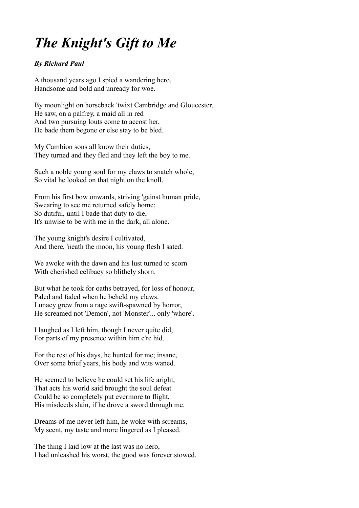## *The Knight's Gift to Me*

## *By Richard Paul*

A thousand years ago I spied a wandering hero, Handsome and bold and unready for woe.

By moonlight on horseback 'twixt Cambridge and Gloucester, He saw, on a palfrey, a maid all in red And two pursuing louts come to accost her, He bade them begone or else stay to be bled.

My Cambion sons all know their duties, They turned and they fled and they left the boy to me.

Such a noble young soul for my claws to snatch whole, So vital he looked on that night on the knoll.

From his first bow onwards, striving 'gainst human pride, Swearing to see me returned safely home; So dutiful, until I bade that duty to die, It's unwise to be with me in the dark, all alone.

The young knight's desire I cultivated, And there, 'neath the moon, his young flesh I sated.

We awoke with the dawn and his lust turned to scorn With cherished celibacy so blithely shorn.

But what he took for oaths betrayed, for loss of honour, Paled and faded when he beheld my claws. Lunacy grew from a rage swift-spawned by horror, He screamed not 'Demon', not 'Monster'... only 'whore'.

I laughed as I left him, though I never quite did, For parts of my presence within him e're hid.

For the rest of his days, he hunted for me; insane, Over some brief years, his body and wits waned.

He seemed to believe he could set his life aright, That acts his world said brought the soul defeat Could be so completely put evermore to flight, His misdeeds slain, if he drove a sword through me.

Dreams of me never left him, he woke with screams, My scent, my taste and more lingered as I pleased.

The thing I laid low at the last was no hero, I had unleashed his worst, the good was forever stowed.